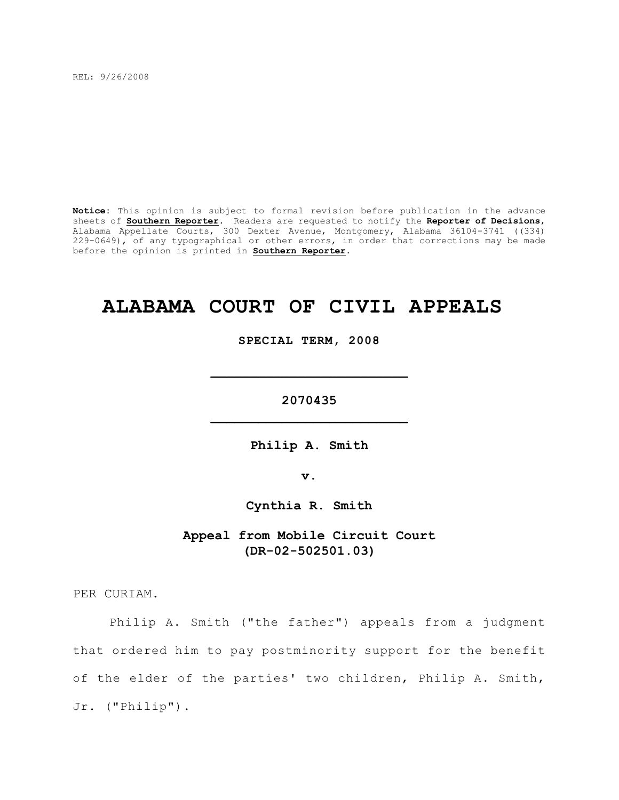REL: 9/26/2008

**Notice:** This opinion is subject to formal revision before publication in the advance sheets of **Southern Reporter**. Readers are requested to notify the **Reporter of Decisions**, Alabama Appellate Courts, 300 Dexter Avenue, Montgomery, Alabama 36104-3741 ((334) 229-0649), of any typographical or other errors, in order that corrections may be made before the opinion is printed in **Southern Reporter**.

# **ALABAMA COURT OF CIVIL APPEALS**

**SPECIAL TERM, 2008**

**\_\_\_\_\_\_\_\_\_\_\_\_\_\_\_\_\_\_\_\_\_\_\_\_\_**

**2070435 \_\_\_\_\_\_\_\_\_\_\_\_\_\_\_\_\_\_\_\_\_\_\_\_\_**

**Philip A. Smith**

**v.**

**Cynthia R. Smith**

**Appeal from Mobile Circuit Court (DR-02-502501.03)**

PER CURIAM.

Philip A. Smith ("the father") appeals from a judgment that ordered him to pay postminority support for the benefit of the elder of the parties' two children, Philip A. Smith, Jr. ("Philip").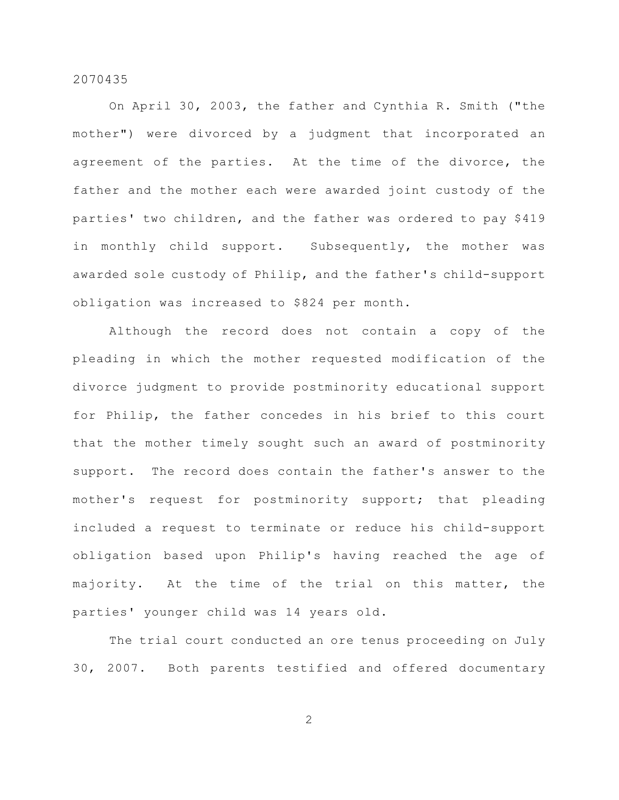On April 30, 2003, the father and Cynthia R. Smith ("the mother") were divorced by a judgment that incorporated an agreement of the parties. At the time of the divorce, the father and the mother each were awarded joint custody of the parties' two children, and the father was ordered to pay \$419 in monthly child support. Subsequently, the mother was awarded sole custody of Philip, and the father's child-support obligation was increased to \$824 per month.

Although the record does not contain a copy of the pleading in which the mother requested modification of the divorce judgment to provide postminority educational support for Philip, the father concedes in his brief to this court that the mother timely sought such an award of postminority support. The record does contain the father's answer to the mother's request for postminority support; that pleading included a request to terminate or reduce his child-support obligation based upon Philip's having reached the age of majority. At the time of the trial on this matter, the parties' younger child was 14 years old.

The trial court conducted an ore tenus proceeding on July 30, 2007. Both parents testified and offered documentary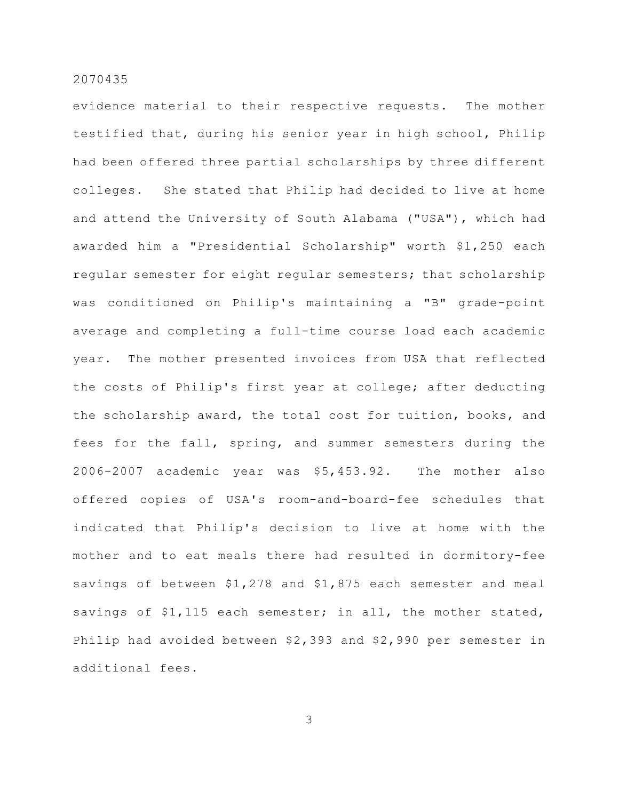evidence material to their respective requests. The mother testified that, during his senior year in high school, Philip had been offered three partial scholarships by three different colleges. She stated that Philip had decided to live at home and attend the University of South Alabama ("USA"), which had awarded him a "Presidential Scholarship" worth \$1,250 each regular semester for eight regular semesters; that scholarship was conditioned on Philip's maintaining a "B" grade-point average and completing a full-time course load each academic year. The mother presented invoices from USA that reflected the costs of Philip's first year at college; after deducting the scholarship award, the total cost for tuition, books, and fees for the fall, spring, and summer semesters during the 2006-2007 academic year was \$5,453.92. The mother also offered copies of USA's room-and-board-fee schedules that indicated that Philip's decision to live at home with the mother and to eat meals there had resulted in dormitory-fee savings of between \$1,278 and \$1,875 each semester and meal savings of \$1,115 each semester; in all, the mother stated, Philip had avoided between \$2,393 and \$2,990 per semester in additional fees.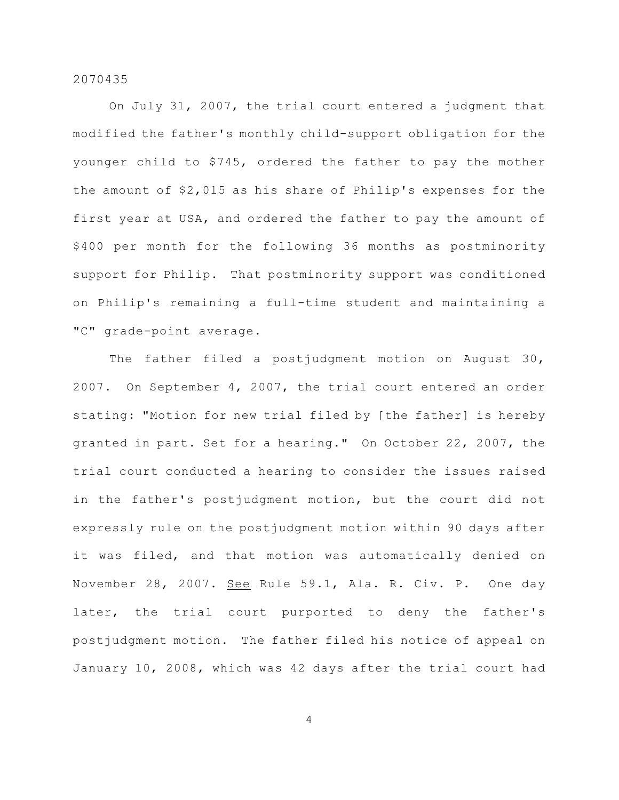On July 31, 2007, the trial court entered a judgment that modified the father's monthly child-support obligation for the younger child to \$745, ordered the father to pay the mother the amount of \$2,015 as his share of Philip's expenses for the first year at USA, and ordered the father to pay the amount of \$400 per month for the following 36 months as postminority support for Philip. That postminority support was conditioned on Philip's remaining a full-time student and maintaining a "C" grade-point average.

The father filed a postjudgment motion on August 30, 2007. On September 4, 2007, the trial court entered an order stating: "Motion for new trial filed by [the father] is hereby granted in part. Set for a hearing." On October 22, 2007, the trial court conducted a hearing to consider the issues raised in the father's postjudgment motion, but the court did not expressly rule on the postjudgment motion within 90 days after it was filed, and that motion was automatically denied on November 28, 2007. See Rule 59.1, Ala. R. Civ. P. One day later, the trial court purported to deny the father's postjudgment motion. The father filed his notice of appeal on January 10, 2008, which was 42 days after the trial court had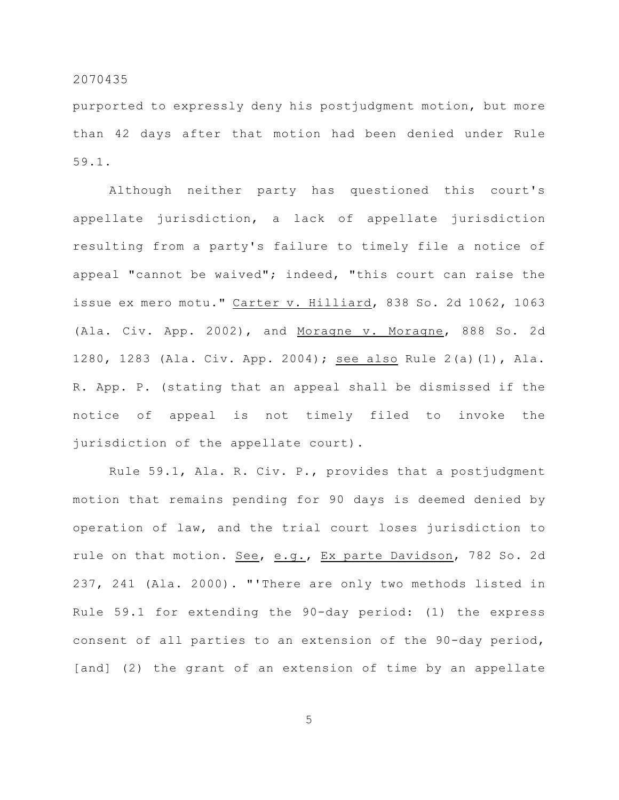purported to expressly deny his postjudgment motion, but more than 42 days after that motion had been denied under Rule 59.1.

Although neither party has questioned this court's appellate jurisdiction, a lack of appellate jurisdiction resulting from a party's failure to timely file a notice of appeal "cannot be waived"; indeed, "this court can raise the issue ex mero motu." Carter v. Hilliard, 838 So. 2d 1062, 1063 (Ala. Civ. App. 2002), and Moragne v. Moragne, 888 So. 2d 1280, 1283 (Ala. Civ. App. 2004); see also Rule 2(a)(1), Ala. R. App. P. (stating that an appeal shall be dismissed if the notice of appeal is not timely filed to invoke the jurisdiction of the appellate court).

Rule 59.1, Ala. R. Civ. P., provides that a postjudgment motion that remains pending for 90 days is deemed denied by operation of law, and the trial court loses jurisdiction to rule on that motion. See, e.g., Ex parte Davidson, 782 So. 2d 237, 241 (Ala. 2000). "'There are only two methods listed in Rule 59.1 for extending the 90-day period: (1) the express consent of all parties to an extension of the 90-day period, [and] (2) the grant of an extension of time by an appellate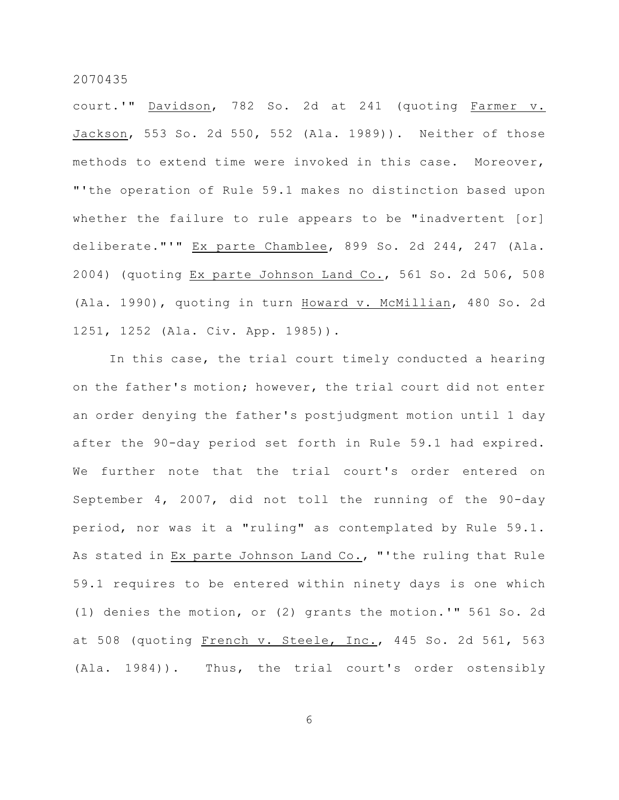court.'" Davidson, 782 So. 2d at 241 (quoting Farmer v. Jackson, 553 So. 2d 550, 552 (Ala. 1989)). Neither of those methods to extend time were invoked in this case. Moreover, "'the operation of Rule 59.1 makes no distinction based upon whether the failure to rule appears to be "inadvertent [or] deliberate."'" Ex parte Chamblee, 899 So. 2d 244, 247 (Ala. 2004) (quoting Ex parte Johnson Land Co., 561 So. 2d 506, 508 (Ala. 1990), quoting in turn Howard v. McMillian, 480 So. 2d 1251, 1252 (Ala. Civ. App. 1985)).

In this case, the trial court timely conducted a hearing on the father's motion; however, the trial court did not enter an order denying the father's postjudgment motion until 1 day after the 90-day period set forth in Rule 59.1 had expired. We further note that the trial court's order entered on September 4, 2007, did not toll the running of the 90-day period, nor was it a "ruling" as contemplated by Rule 59.1. As stated in Ex parte Johnson Land Co., "'the ruling that Rule 59.1 requires to be entered within ninety days is one which (1) denies the motion, or (2) grants the motion.'" 561 So. 2d at 508 (quoting French v. Steele, Inc., 445 So. 2d 561, 563 (Ala. 1984)). Thus, the trial court's order ostensibly